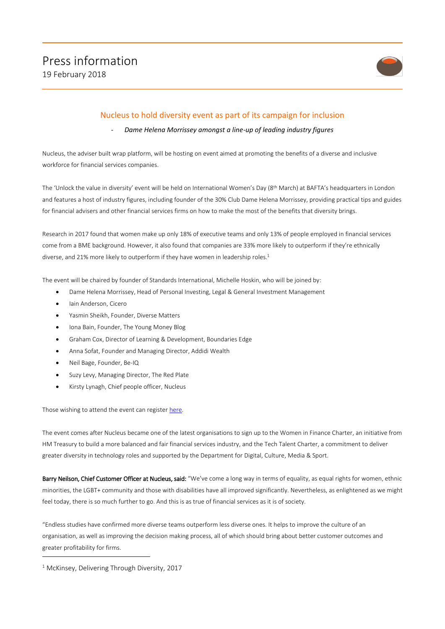

# Nucleus to hold diversity event as part of its campaign for inclusion

## - *Dame Helena Morrissey amongst a line-up of leading industry figures*

Nucleus, the adviser built wrap platform, will be hosting on event aimed at promoting the benefits of a diverse and inclusive workforce for financial services companies.

The 'Unlock the value in diversity' event will be held on International Women's Day (8th March) at BAFTA's headquarters in London and features a host of industry figures, including founder of the 30% Club Dame Helena Morrissey, providing practical tips and guides for financial advisers and other financial services firms on how to make the most of the benefits that diversity brings.

Research in 2017 found that women make up only 18% of executive teams and only 13% of people employed in financial services come from a BME background. However, it also found that companies are 33% more likely to outperform if they're ethnically diverse, and 21% more likely to outperform if they have women in leadership roles.<sup>1</sup>

The event will be chaired by founder of Standards International, Michelle Hoskin, who will be joined by:

- Dame Helena Morrissey, Head of Personal Investing, Legal & General Investment Management
- Iain Anderson, Cicero
- Yasmin Sheikh, Founder, Diverse Matters
- Iona Bain, Founder, The Young Money Blog
- Graham Cox, Director of Learning & Development, Boundaries Edge
- Anna Sofat, Founder and Managing Director, Addidi Wealth
- Neil Bage, Founder, Be-IQ
- Suzy Levy, Managing Director, The Red Plate
- Kirsty Lynagh, Chief people officer, Nucleus

Those wishing to attend the event can registe[r here.](https://illuminate.nucleusfinancial.com/diversity/) 

The event comes after Nucleus became one of the latest organisations to sign up to the Women in Finance Charter, an initiative from HM Treasury to build a more balanced and fair financial services industry, and the Tech Talent Charter, a commitment to deliver greater diversity in technology roles and supported by the Department for Digital, Culture, Media & Sport.

Barry Neilson, Chief Customer Officer at Nucleus, said: "We've come a long way in terms of equality, as equal rights for women, ethnic minorities, the LGBT+ community and those with disabilities have all improved significantly. Nevertheless, as enlightened as we might feel today, there is so much further to go. And this is as true of financial services as it is of society.

"Endless studies have confirmed more diverse teams outperform less diverse ones. It helps to improve the culture of an organisation, as well as improving the decision making process, all of which should bring about better customer outcomes and greater profitability for firms.

<sup>&</sup>lt;sup>1</sup> McKinsey, Delivering Through Diversity, 2017